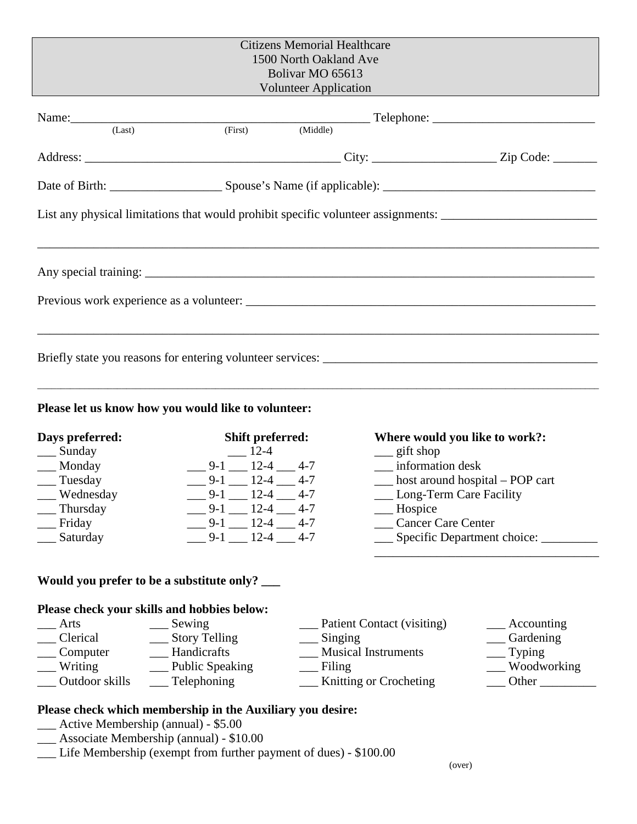| <b>Citizens Memorial Healthcare</b><br>1500 North Oakland Ave<br>Bolivar MO 65613<br><b>Volunteer Application</b>    |                                                                                                                                                                                             |                                     |                                                                                                                                                                                         |                                                                                                                |  |  |
|----------------------------------------------------------------------------------------------------------------------|---------------------------------------------------------------------------------------------------------------------------------------------------------------------------------------------|-------------------------------------|-----------------------------------------------------------------------------------------------------------------------------------------------------------------------------------------|----------------------------------------------------------------------------------------------------------------|--|--|
|                                                                                                                      |                                                                                                                                                                                             |                                     |                                                                                                                                                                                         |                                                                                                                |  |  |
|                                                                                                                      |                                                                                                                                                                                             |                                     |                                                                                                                                                                                         |                                                                                                                |  |  |
|                                                                                                                      |                                                                                                                                                                                             |                                     |                                                                                                                                                                                         |                                                                                                                |  |  |
|                                                                                                                      |                                                                                                                                                                                             |                                     |                                                                                                                                                                                         |                                                                                                                |  |  |
|                                                                                                                      | List any physical limitations that would prohibit specific volunteer assignments: ____________________________                                                                              |                                     |                                                                                                                                                                                         |                                                                                                                |  |  |
|                                                                                                                      |                                                                                                                                                                                             |                                     |                                                                                                                                                                                         |                                                                                                                |  |  |
|                                                                                                                      |                                                                                                                                                                                             |                                     |                                                                                                                                                                                         |                                                                                                                |  |  |
|                                                                                                                      |                                                                                                                                                                                             |                                     |                                                                                                                                                                                         |                                                                                                                |  |  |
| Please let us know how you would like to volunteer:                                                                  |                                                                                                                                                                                             |                                     |                                                                                                                                                                                         |                                                                                                                |  |  |
| Days preferred:<br>$\_\_\_$ Sunday<br>__ Monday<br>$\_\_$ Tuesday<br>___ Wednesday<br>Thursday<br>Friday<br>Saturday | <b>Shift preferred:</b><br>$-12-4$<br>$-9-1$ $-12-4$ $-4-7$<br>$-9-1$ $12-4$ $4-7$<br>$9-1$ 12-4 4-7<br>$-9-1$ 12-4 $-4$<br>$9-1$ __ 12-4 __ 4-7<br>$9-1$ 12-4 4-7                          |                                     | Where would you like to work?:<br>__gift shop<br>__ information desk<br>$\frac{1}{2}$ host around hospital – POP cart<br>__ Long-Term Care Facility<br>__ Hospice<br>Cancer Care Center | Specific Department choice:                                                                                    |  |  |
|                                                                                                                      | Would you prefer to be a substitute only?                                                                                                                                                   |                                     |                                                                                                                                                                                         |                                                                                                                |  |  |
| $-$ Arts<br>Clerical<br>__ Computer<br>$\equiv$ Writing<br>__ Outdoor skills _____ Telephoning                       | Please check your skills and hobbies below:<br>$\_\_\$ Sewing<br>__ Story Telling<br>__ Handicrafts<br><u>Dublic Speaking</u><br>Please check which membership in the Auxiliary you desire: | $\equiv$ Singing<br>$\equiv$ Filing | _ Patient Contact (visiting)<br><b>Musical Instruments</b><br>__ Knitting or Crocheting                                                                                                 | $\_\_\_\$ Accounting<br>__ Gardening<br>$\equiv$ Typing<br>__ Woodworking<br>$\frac{1}{2}$ Other $\frac{1}{2}$ |  |  |
| __ Active Membership (annual) - \$5.00                                                                               |                                                                                                                                                                                             |                                     |                                                                                                                                                                                         |                                                                                                                |  |  |

\_\_\_ Associate Membership (annual) - \$10.00

\_\_\_ Life Membership (exempt from further payment of dues) - \$100.00

(over)